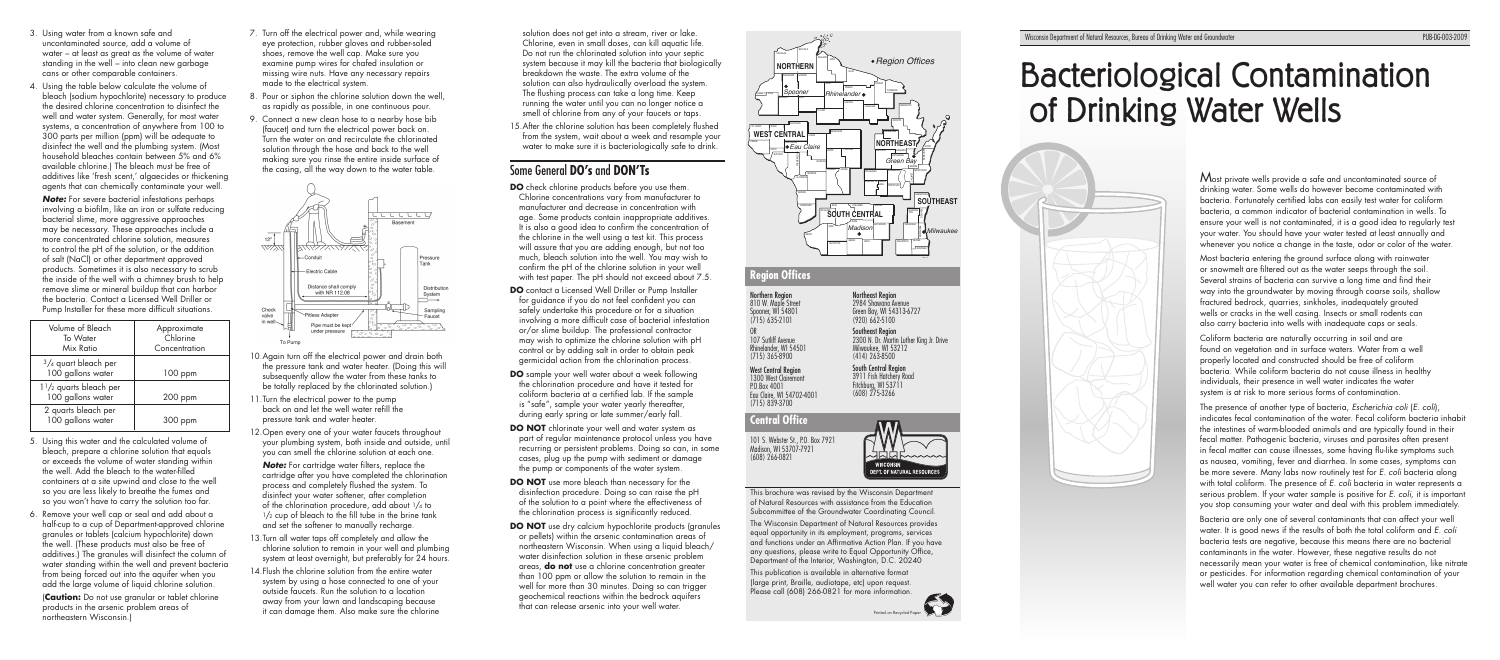

**CONTRACTOR** Printed on Recycled Paper

# Bacteriological Contamination of Drinking Water Wells

Most private wells provide a safe and uncontaminated source of drinking water. Some wells do however become contaminated with bacteria. Fortunately certified labs can easily test water for coliform bacteria, a common indicator of bacterial contamination in wells. To ensure your well is not contaminated, it is a good idea to regularly test your water. You should have your water tested at least annually and whenever you notice a change in the taste, odor or color of the water

Northern Region 810 W. Maple Street Spooner, WI 54801 (715) 635-2101

OR 107 Sutliff Avenue Rhinelander, WI 54501 (715) 365-8900

West Central Region 1300 West Clairemont P.O.Box 4001 Eau Claire, WI 54702-4001 (715) 839-3700

## **Central Office**

This brochure was revised by the Wisconsin Department of Natural Resources with assistance from the Education Subcommittee of the Groundwater Coordinating Council.

The Wisconsin Department of Natural Resources provides equal opportunity in its employment, programs, services and functions under an Affirmative Action Plan. If you have any questions, please write to Equal Opportunity Office, Department of the Interior, Washington, D.C. 20240

This publication is available in alternative format (large print, Braille, audiotape, etc) upon request. Please call (608) 266-0821 for more information.

Northeast Region 2984 Shawano Avenue Green Bay, WI 54313-6727 (920) 662-5100 Southeast Region

2300 N. Dr. Martin Luther King Jr. Drive



Milwaukee, WI 53212 (414) 263-8500 South Central Region 3911 Fish Hatchery Road Fitchburg, WI 53711 (608) 275-3266

### **Region Offices**

101 S. Webster St., P.O. Box 7921 Madison, WI 53707-7921 (608) 266-0821

<u>JMMMWW</u> **WISCONSIN** DEPT. OF NATURAL RESOURCES Most bacteria entering the ground surface along with rainwater or snowmelt are filtered out as the water seeps through the soil. Several strains of bacteria can survive a long time and find their way into the groundwater by moving through coarse soils, shallow fractured bedrock, quarries, sinkholes, inadequately grouted wells or cracks in the well casing. Insects or small rodents can also carry bacteria into wells with inadequate caps or seals.

Coliform bacteria are naturally occurring in soil and are found on vegetation and in surface waters. Water from a well properly located and constructed should be free of coliform bacteria. While coliform bacteria do not cause illness in healthy individuals, their presence in well water indicates the water system is at risk to more serious forms of contamination.

The presence of another type of bacteria, *Escherichia coli* (*E. coli*), indicates fecal contamination of the water. Fecal coliform bacteria inhabit the intestines of warm-blooded animals and are typically found in their fecal matter. Pathogenic bacteria, viruses and parasites often present in fecal matter can cause illnesses, some havina flu-like symptoms such as nausea, vomiting, fever and diarrhea. In some cases, symptoms can be more severe. Many labs now routinely test for *E. coli* bacteria along with total coliform. The presence of *E. coli* bacteria in water represents a serious problem. If your water sample is positive for *E. coli,* it is important you stop consuming your water and deal with this problem immediately.

**Note:** For cartridge water filters, replace the cartridge after you have completed the chlorination process and completely flushed the system. To disinfect your water softener, after completion of the chlorination procedure, add about 1/4 to  $1/2$  cup of bleach to the fill tube in the brine tank and set the softener to manually recharge.

Bacteria are only one of several contaminants that can affect your well water. It is good news if the results of both the total coliform and *E. coli* bacteria tests are negative, because this means there are no bacterial contaminants in the water. However, these negative results do not necessarily mean your water is free of chemical contamination, like nitrate or pesticides. For information regarding chemical contamination of your well water you can refer to other available department brochures.



solution does not get into a stream, river or lake. Chlorine, even in small doses, can kill aquatic life. Do not run the chlorinated solution into your septic system because it may kill the bacteria that biologically breakdown the waste. The extra volume of the solution can also hydraulically overload the system. The flushing process can take a long time. Keep running the water until you can no longer notice a smell of chlorine from any of your faucets or taps.

| Volume of Bleach<br>To Water<br>Mix Ratio             | Approximate<br>Chlorine<br>Concentration |
|-------------------------------------------------------|------------------------------------------|
| $3/4$ quart bleach per<br>100 gallons water           | $100$ ppm                                |
| $1\frac{1}{2}$ quarts bleach per<br>100 gallons water | 200 ppm                                  |
| 2 quarts bleach per<br>100 gallons water              | 300 ppm                                  |

15. After the chlorine solution has been completely flushed from the system, wait about a week and resample your water to make sure it is bacteriologically safe to drink.

- 3. Using water from a known safe and uncontaminated source, add a volume of water – at least as great as the volume of water standing in the well – into clean new garbage cans or other comparable containers.
- 4. Using the table below calculate the volume of bleach (sodium hypochlorite) necessary to produce the desired chlorine concentration to disinfect the well and water system. Generally, for most water systems, a concentration of anywhere from 100 to 300 parts per million (ppm) will be adequate to disinfect the well and the plumbing system. (Most household bleaches contain between 5% and 6% available chlorine.) The bleach must be free of additives like 'fresh scent,' algaecides or thickening agents that can chemically contaminate your well.

**Note:** For severe bacterial infestations perhaps involving a biofilm, like an iron or sulfate reducing bacterial slime, more aggressive approaches may be necessary. These approaches include a more concentrated chlorine solution, measures to control the pH of the solution, or the addition of salt (NaCl) or other department approved products. Sometimes it is also necessary to scrub the inside of the well with a chimney brush to help remove slime or mineral buildup that can harbor the bacteria. Contact a Licensed Well Driller or Pump Installer for these more difficult situations.

- 5. Using this water and the calculated volume of bleach, prepare a chlorine solution that equals or exceeds the volume of water standing within the well. Add the bleach to the water-filled containers at a site upwind and close to the well so you are less likely to breathe the fumes and so you won't have to carry the solution too far.
- 6. Remove your well cap or seal and add about a half-cup to a cup of Department-approved chlorine granules or tablets (calcium hypochlorite) down the well. (These products must also be free of additives.) The granules will disinfect the column of water standing within the well and prevent bacteria from being forced out into the aquifer when you add the large volume of liquid chlorine solution.

 (**Caution:** Do not use granular or tablet chlorine products in the arsenic problem areas of northeastern Wisconsin.)

- 7. Turn off the electrical power and, while wearing eye protection, rubber gloves and rubber-soled shoes, remove the well cap. Make sure you examine pump wires for chafed insulation or missing wire nuts. Have any necessary repairs made to the electrical system.
- 8. Pour or siphon the chlorine solution down the well, as rapidly as possible, in one continuous pour.
- 9. Connect a new clean hose to a nearby hose bib (faucet) and turn the electrical power back on. Turn the water on and recirculate the chlorinated solution through the hose and back to the well making sure you rinse the entire inside surface of the casing, all the way down to the water table.



- 10.Again turn off the electrical power and drain both the pressure tank and water heater. (Doing this will subsequently allow the water from these tanks to be totally replaced by the chlorinated solution.)
- 11.Turn the electrical power to the pump back on and let the well water refill the pressure tank and water heater.
- 12.Open every one of your water faucets throughout your plumbing system, both inside and outside, until you can smell the chlorine solution at each one.

- 13. Turn all water taps off completely and allow the chlorine solution to remain in your well and plumbing system at least overnight, but preferably for 24 hours.
- 14. Flush the chlorine solution from the entire water system by using a hose connected to one of your outside faucets. Run the solution to a location away from your lawn and landscaping because it can damage them. Also make sure the chlorine

# Some General **DO's** and **DON'Ts**

- **DO** check chlorine products before you use them. Chlorine concentrations vary from manufacturer to manufacturer and decrease in concentration with age. Some products contain inappropriate additives. It is also a good idea to confirm the concentration of the chlorine in the well using a test kit. This process will assure that you are adding enough, but not too much, bleach solution into the well. You may wish to confirm the pH of the chlorine solution in your well with test paper. The pH should not exceed about 7.5.
- **DO** contact a Licensed Well Driller or Pump Installer for quidance if you do not feel confident you can safely undertake this procedure or for a situation involving a more difficult case of bacterial infestation or/or slime buildup. The professional contractor may wish to optimize the chlorine solution with pH control or by adding salt in order to obtain peak germicidal action from the chlorination process.
- **DO** sample your well water about a week following the chlorination procedure and have it tested for coliform bacteria at a certified lab. If the sample is "safe", sample your water yearly thereafter, during early spring or late summer/early fall.
- **DO NOT** chlorinate your well and water system as part of regular maintenance protocol unless you have recurring or persistent problems. Doing so can, in some cases, plug up the pump with sediment or damage the pump or components of the water system.
- **DO NOT** use more bleach than necessary for the disinfection procedure. Doing so can raise the pH of the solution to a point where the effectiveness of the chlorination process is significantly reduced.
- **DO NOT** use dry calcium hypochlorite products (granules or pellets) within the arsenic contamination areas of northeastern Wisconsin. When using a liquid bleach/ water disinfection solution in these arsenic problem areas, **do not** use a chlorine concentration greater than 100 ppm or allow the solution to remain in the well for more than 30 minutes. Doing so can trigger geochemical reactions within the bedrock aquifers that can release arsenic into your well water.